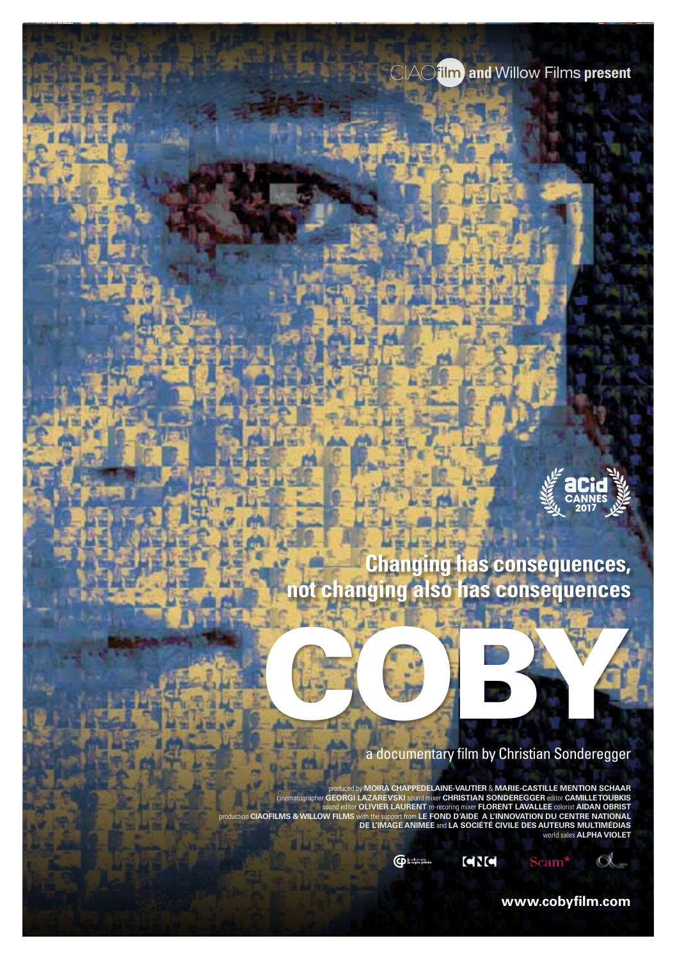**and** Willow Films **present**



**Changing has consequences, not changing also has consequences**

COBY.



produced by MOIRA CHAPPEDELAINE-VAITIRE & MARK<br>cinematographer GEORGI LAZAREVSKI sound miner CHRISTIAN SONDEREGGER editor CAMILLETOUBKIS<br>sound editor OLIVIER LAURENT re-recoring miner FLORENT LAVALLEE colorist AIDAN OBRIST world sales **ALPHA VIOLET**

**CD** Libraries **CNC** O.

**www.cobyfilm.com**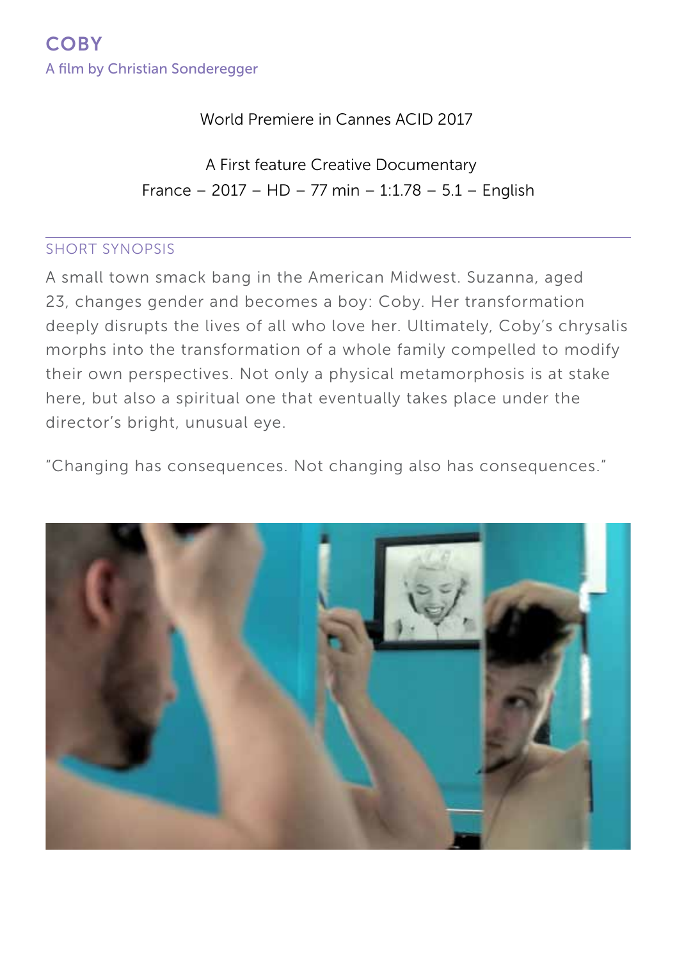World Premiere in Cannes ACID 2017

France – 2017 – HD – 77 min – 1:1.78 – 5.1 – English A First feature Creative Documentary

#### short synopsis

A small town smack bang in the American Midwest. Suzanna, aged 23, changes gender and becomes a boy: Coby. Her transformation deeply disrupts the lives of all who love her. Ultimately, Coby's chrysalis morphs into the transformation of a whole family compelled to modify their own perspectives. Not only a physical metamorphosis is at stake here, but also a spiritual one that eventually takes place under the director's bright, unusual eye.

"Changing has consequences. Not changing also has consequences."

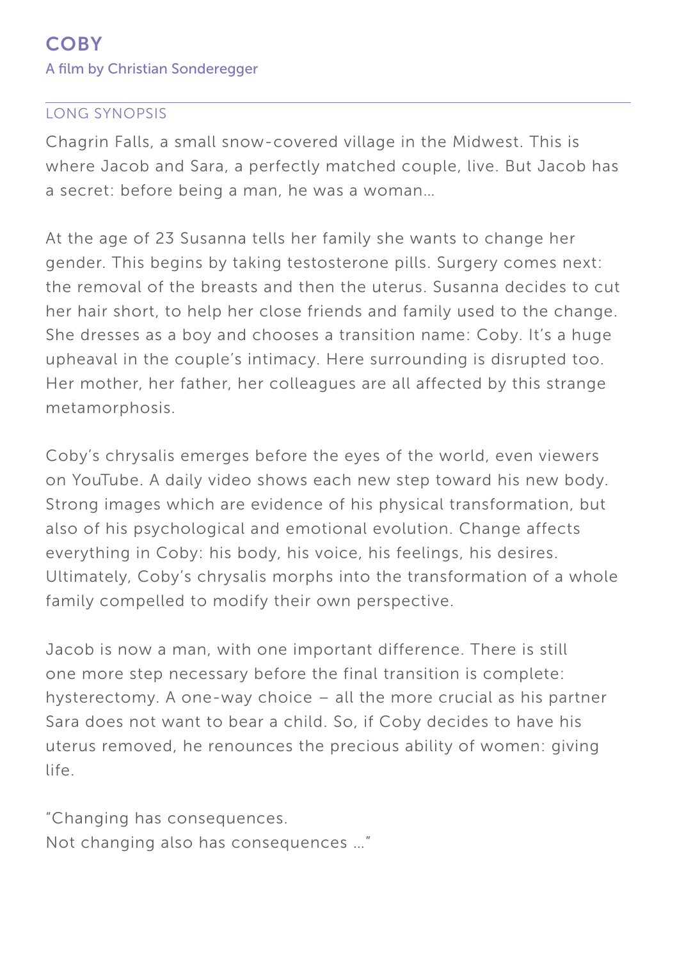#### long synopsis

Chagrin Falls, a small snow-covered village in the Midwest. This is where Jacob and Sara, a perfectly matched couple, live. But Jacob has a secret: before being a man, he was a woman…

At the age of 23 Susanna tells her family she wants to change her gender. This begins by taking testosterone pills. Surgery comes next: the removal of the breasts and then the uterus. Susanna decides to cut her hair short, to help her close friends and family used to the change. She dresses as a boy and chooses a transition name: Coby. It's a huge upheaval in the couple's intimacy. Here surrounding is disrupted too. Her mother, her father, her colleagues are all affected by this strange metamorphosis.

Coby's chrysalis emerges before the eyes of the world, even viewers on YouTube. A daily video shows each new step toward his new body. Strong images which are evidence of his physical transformation, but also of his psychological and emotional evolution. Change affects everything in Coby: his body, his voice, his feelings, his desires. Ultimately, Coby's chrysalis morphs into the transformation of a whole family compelled to modify their own perspective.

Jacob is now a man, with one important difference. There is still one more step necessary before the final transition is complete: hysterectomy. A one-way choice – all the more crucial as his partner Sara does not want to bear a child. So, if Coby decides to have his uterus removed, he renounces the precious ability of women: giving life.

"Changing has consequences. Not changing also has consequences …"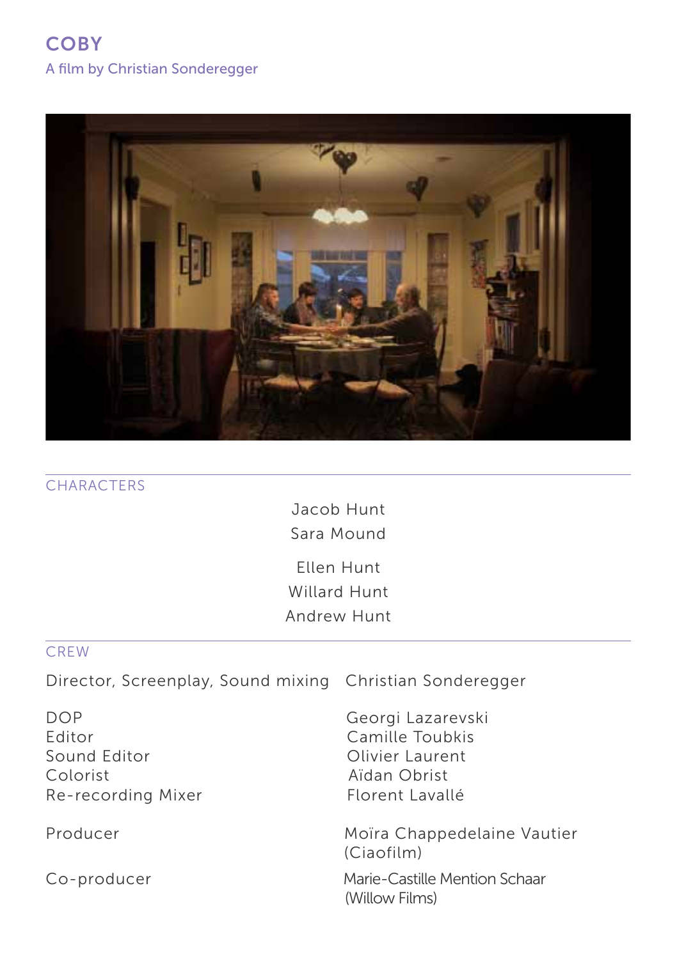

|  | <b>CHARACTERS</b> |
|--|-------------------|
|  |                   |

Jacob Hunt Sara Mound Ellen Hunt Willard Hunt Andrew Hunt

#### CREW

Director, Screenplay, Sound mixing Christian Sonderegger

Editor Camille Toubkis Sound Editor **Contact Contact Contact Contact Contact Contact Contact Contact Contact Contact Contact Contact Contact Contact Contact Contact Contact Contact Contact Contact Contact Contact Contact Contact Contact Contact** Colorist Aïdan Obrist Re-recording Mixer Florent Lavallé

DOP Georgi Lazarevski

Producer Moïra Chappedelaine Vautier (Ciaofilm)

Co-producer Marie-Castille Mention Schaar (Willow Films)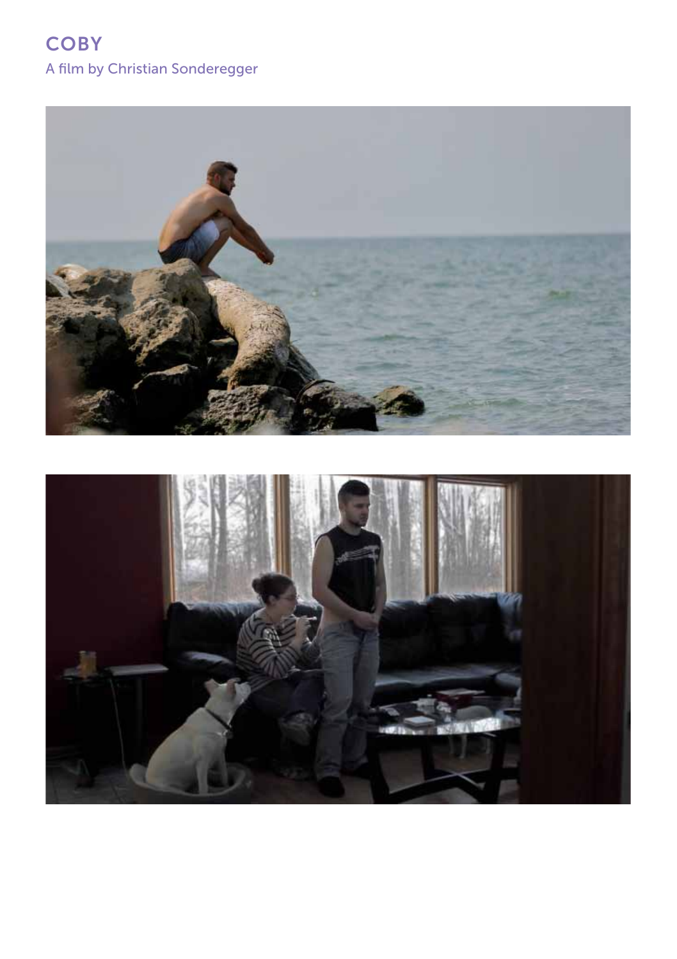

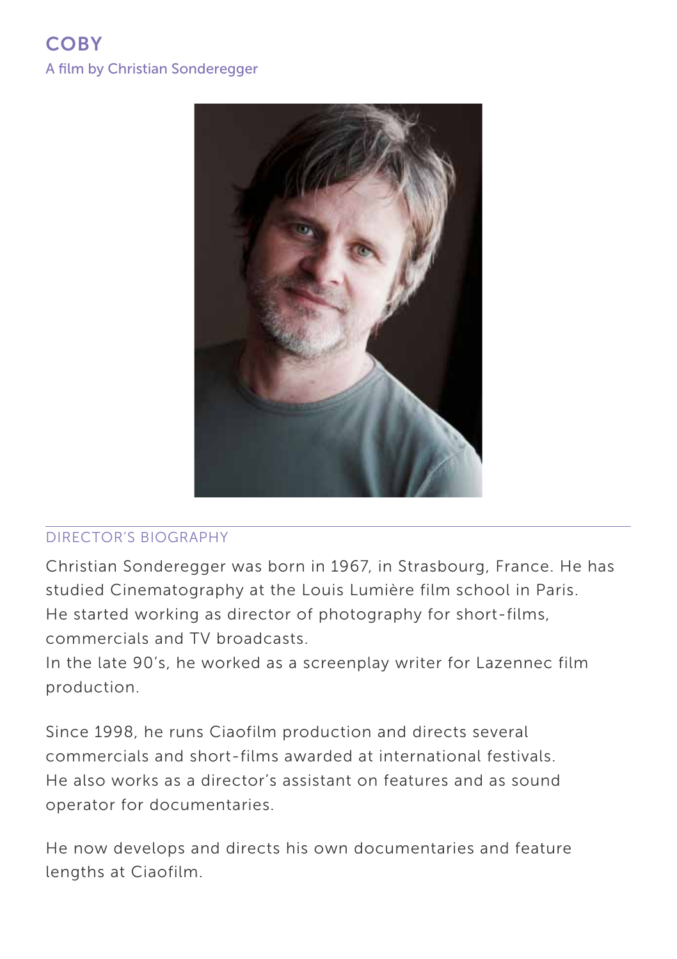

### Director's BIOGRAPHY

Christian Sonderegger was born in 1967, in Strasbourg, France. He has studied Cinematography at the Louis Lumière film school in Paris. He started working as director of photography for short-films, commercials and TV broadcasts.

In the late 90's, he worked as a screenplay writer for Lazennec film production.

Since 1998, he runs Ciaofilm production and directs several commercials and short-films awarded at international festivals. He also works as a director's assistant on features and as sound operator for documentaries.

He now develops and directs his own documentaries and feature lengths at Ciaofilm.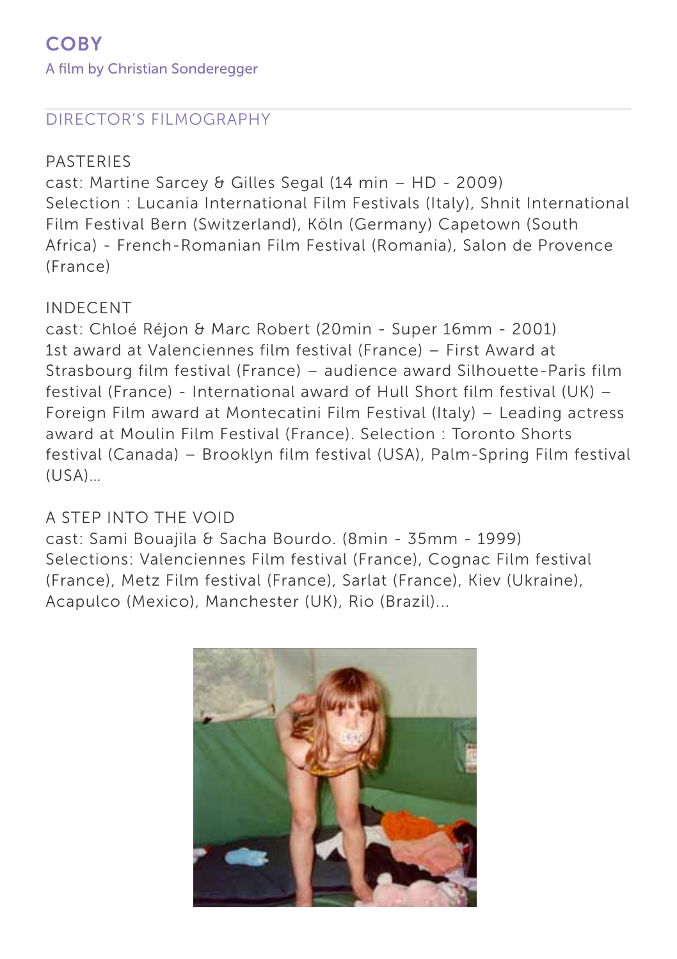### Director's FILMOGRAPHY

### PASTERIES

cast: Martine Sarcey & Gilles Segal (14 min – HD - 2009) Selection : Lucania International Film Festivals (Italy), Shnit International Film Festival Bern (Switzerland), Köln (Germany) Capetown (South Africa) - French-Romanian Film Festival (Romania), Salon de Provence (France)

### INDECENT

cast: Chloé Réjon & Marc Robert (20min - Super 16mm - 2001) 1st award at Valenciennes film festival (France) – First Award at Strasbourg film festival (France) – audience award Silhouette-Paris film festival (France) - International award of Hull Short film festival (UK) – Foreign Film award at Montecatini Film Festival (Italy) – Leading actress award at Moulin Film Festival (France). Selection : Toronto Shorts festival (Canada) – Brooklyn film festival (USA), Palm-Spring Film festival  $(USA)$ 

### A STEP INTO THE VOID

cast: Sami Bouajila & Sacha Bourdo. (8min - 35mm - 1999) Selections: Valenciennes Film festival (France), Cognac Film festival (France), Metz Film festival (France), Sarlat (France), Kiev (Ukraine), Acapulco (Mexico), Manchester (UK), Rio (Brazil)...

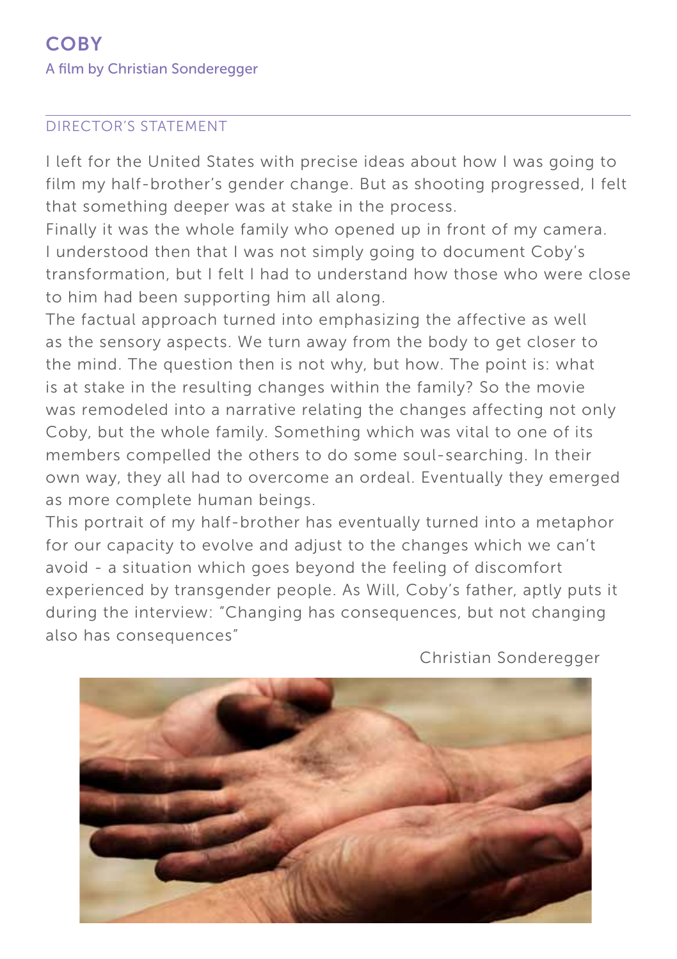#### Director's STATEMENT

I left for the United States with precise ideas about how I was going to film my half-brother's gender change. But as shooting progressed, I felt that something deeper was at stake in the process.

Finally it was the whole family who opened up in front of my camera. I understood then that I was not simply going to document Coby's transformation, but I felt I had to understand how those who were close to him had been supporting him all along.

The factual approach turned into emphasizing the affective as well as the sensory aspects. We turn away from the body to get closer to the mind. The question then is not why, but how. The point is: what is at stake in the resulting changes within the family? So the movie was remodeled into a narrative relating the changes affecting not only Coby, but the whole family. Something which was vital to one of its members compelled the others to do some soul-searching. In their own way, they all had to overcome an ordeal. Eventually they emerged as more complete human beings.

This portrait of my half-brother has eventually turned into a metaphor for our capacity to evolve and adjust to the changes which we can't avoid - a situation which goes beyond the feeling of discomfort experienced by transgender people. As Will, Coby's father, aptly puts it during the interview: "Changing has consequences, but not changing also has consequences"



Christian Sonderegger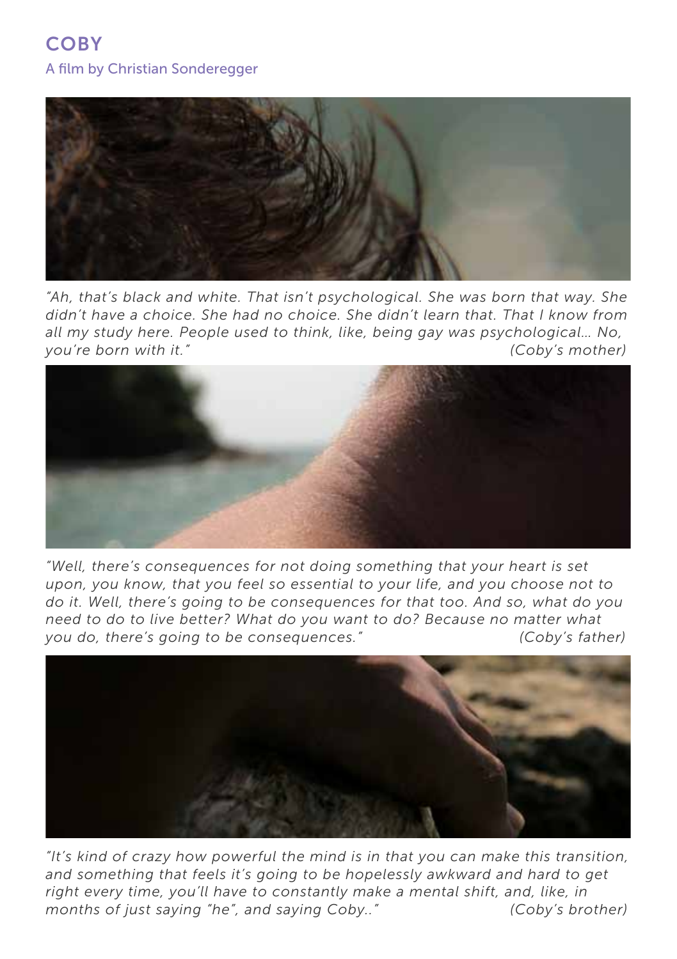

*"Ah, that's black and white. That isn't psychological. She was born that way. She didn't have a choice. She had no choice. She didn't learn that. That I know from all my study here. People used to think, like, being gay was psychological… No, you're born with it." (Coby's mother)*



*"Well, there's consequences for not doing something that your heart is set upon, you know, that you feel so essential to your life, and you choose not to do it. Well, there's going to be consequences for that too. And so, what do you need to do to live better? What do you want to do? Because no matter what you do, there's going to be consequences." (Coby's father)*



*"It's kind of crazy how powerful the mind is in that you can make this transition,*  and something that feels it's going to be hopelessly awkward and hard to get *right every time, you'll have to constantly make a mental shift, and, like, in months of just saying "he", and saying Coby.." (Coby's brother)*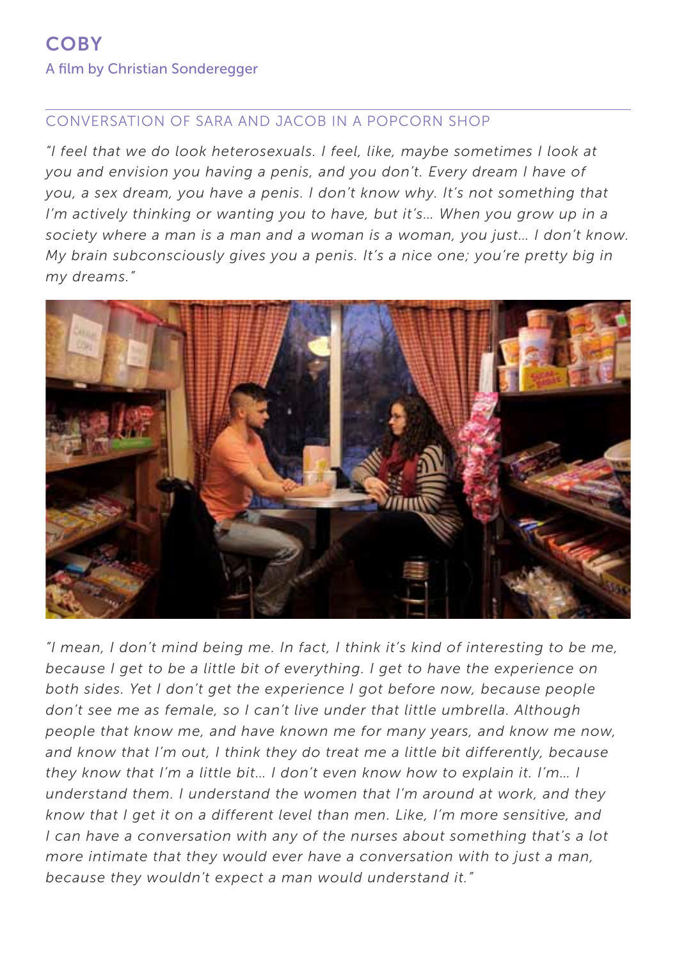#### conversation of sara and jacob in a popcorn shop

*"I feel that we do look heterosexuals. I feel, like, maybe sometimes I look at you and envision you having a penis, and you don't. Every dream I have of you, a sex dream, you have a penis. I don't know why. It's not something that I'm actively thinking or wanting you to have, but it's... When you grow up in a society where a man is a man and a woman is a woman, you just… I don't know. My brain subconsciously gives you a penis. It's a nice one; you're pretty big in my dreams."*



*"I mean, I don't mind being me. In fact, I think it's kind of interesting to be me, because I get to be a little bit of everything. I get to have the experience on both sides. Yet I don't get the experience I got before now, because people don't see me as female, so I can't live under that little umbrella. Although people that know me, and have known me for many years, and know me now, and know that I'm out, I think they do treat me a little bit differently, because they know that I'm a little bit… I don't even know how to explain it. I'm… I understand them. I understand the women that I'm around at work, and they know that I get it on a different level than men. Like, I'm more sensitive, and I can have a conversation with any of the nurses about something that's a lot more intimate that they would ever have a conversation with to just a man, because they wouldn't expect a man would understand it."*